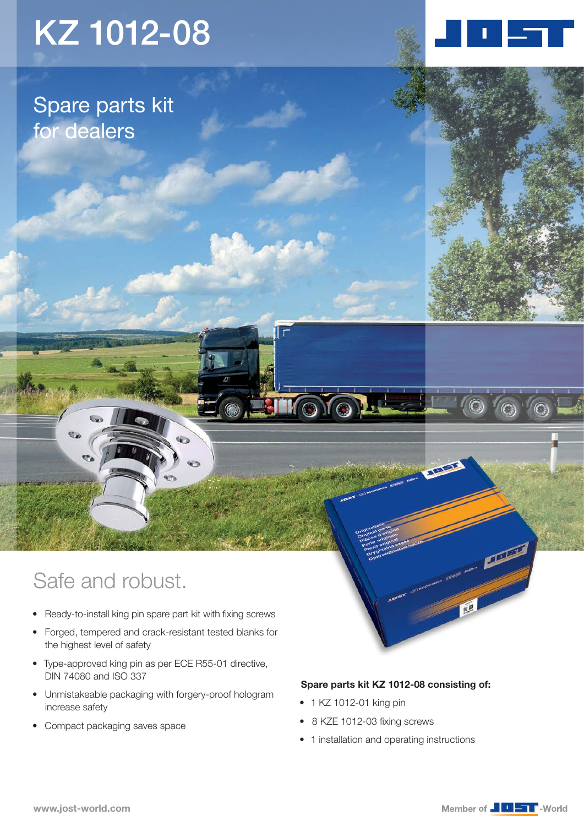# KZ 1012-08

Spare parts kit for dealers

### Safe and robust.

- Ready-to-install king pin spare part kit with fixing screws
- • Forged, tempered and crack-resistant tested blanks for the highest level of safety
- • Type-approved king pin as per ECE R55-01 directive, DIN 74080 and ISO 337
- • Unmistakeable packaging with forgery-proof hologram increase safety
- Compact packaging saves space

#### Spare parts kit KZ 1012-08 consisting of:

• 1 KZ 1012-01 king pin

**EN OVOL** 

- 8 KZE 1012-03 fixing screws
- 1 installation and operating instructions



**STEAM** 

 $\odot$